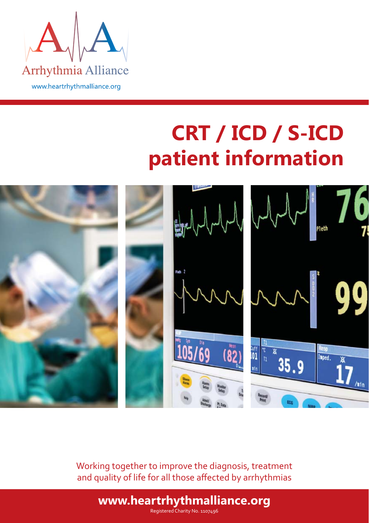

# **CRT / ICD / S-ICD patient information**



Working together to improve the diagnosis, treatment and quality of life for all those affected by arrhythmias

Registered Charity No. 1107496 **www.heartrhythmalliance.org**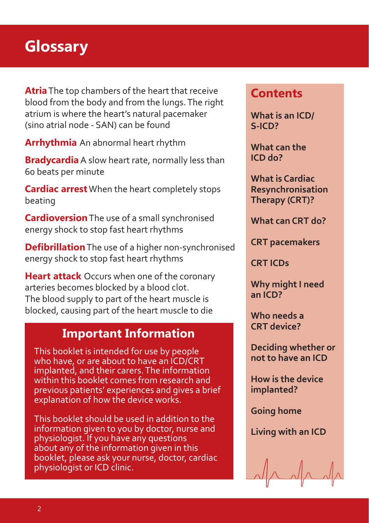## **Glossary**

**Atria** The top chambers of the heart that receive blood from the body and from the lungs. The right atrium is where the heart's natural pacemaker (sino atrial node - SAN) can be found

**Arrhythmia** An abnormal heart rhythm

**Bradycardia** A slow heart rate, normally less than 60 beats per minute

**Cardiac arrest** When the heart completely stops beating

**Cardioversion** The use of a small synchronised energy shock to stop fast heart rhythms

**Defibrillation** The use of a higher non-synchronised energy shock to stop fast heart rhythms

**Heart attack** Occurs when one of the coronary arteries becomes blocked by a blood clot. The blood supply to part of the heart muscle is blocked, causing part of the heart muscle to die

#### **Important Information**

This booklet is intended for use by people who have, or are about to have an ICD/CRT implanted, and their carers. The information within this booklet comes from research and previous patients' experiences and gives a brief explanation of how the device works.

This booklet should be used in addition to the information given to you by doctor, nurse and physiologist. If you have any questions about any of the information given in this booklet, please ask your nurse, doctor, cardiac physiologist or ICD clinic.

### **Contents**

**What is an ICD/ S-ICD?** 

**What can the ICD do?**

**What is Cardiac Resynchronisation Therapy (CRT)?**

**What can CRT do?**

**CRT pacemakers**

**CRT ICDs**

**Why might I need an ICD?** 

**Who needs a CRT device?**

**Deciding whether or not to have an ICD**

**How is the device implanted?**

**Going home**

**Living with an ICD**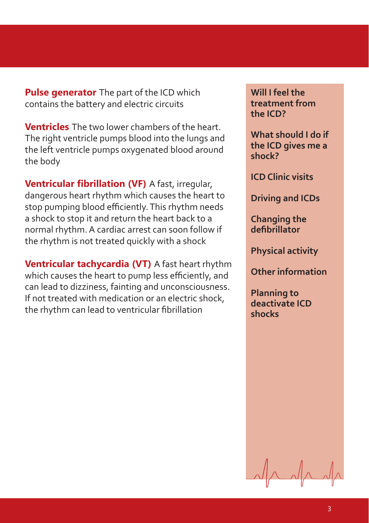**Pulse generator** The part of the ICD which contains the battery and electric circuits

**Ventricles** The two lower chambers of the heart. The right ventricle pumps blood into the lungs and the left ventricle pumps oxygenated blood around the body

**Ventricular fi brillation (VF)** A fast, irregular, dangerous heart rhythm which causes the heart to stop pumping blood efficiently. This rhythm needs a shock to stop it and return the heart back to a normal rhythm. A cardiac arrest can soon follow if the rhythm is not treated quickly with a shock

**Ventricular tachycardia (VT)** A fast heart rhythm which causes the heart to pump less efficiently, and can lead to dizziness, fainting and unconsciousness. If not treated with medication or an electric shock, the rhythm can lead to ventricular fibrillation

**Will I feel the treatment from the ICD?** 

**What should I do if the ICD gives me a shock?**

**ICD Clinic visits**

**Driving and ICDs** 

**Changing the defibrillator**

**Physical activity**

**Other information**

**Planning to deactivate ICD shocks**

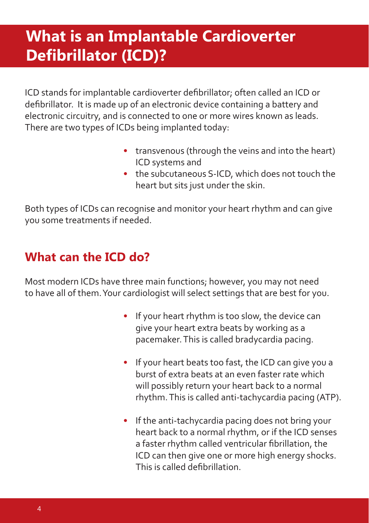# **What is an Implantable Cardioverter Defi brillator (ICD)?**

ICD stands for implantable cardioverter defibrillator; often called an ICD or defibrillator. It is made up of an electronic device containing a battery and electronic circuitry, and is connected to one or more wires known as leads. There are two types of ICDs being implanted today:

- transvenous (through the veins and into the heart) ICD systems and
- the subcutaneous S-ICD, which does not touch the heart but sits just under the skin.

Both types of ICDs can recognise and monitor your heart rhythm and can give you some treatments if needed.

### **What can the ICD do?**

Most modern ICDs have three main functions; however, you may not need to have all of them. Your cardiologist will select settings that are best for you.

- If your heart rhythm is too slow, the device can give your heart extra beats by working as a pacemaker. This is called bradycardia pacing.
- If your heart beats too fast, the ICD can give you a burst of extra beats at an even faster rate which will possibly return your heart back to a normal rhythm. This is called anti-tachycardia pacing (ATP).
- If the anti-tachycardia pacing does not bring your heart back to a normal rhythm, or if the ICD senses a faster rhythm called ventricular fibrillation, the ICD can then give one or more high energy shocks. This is called defibrillation.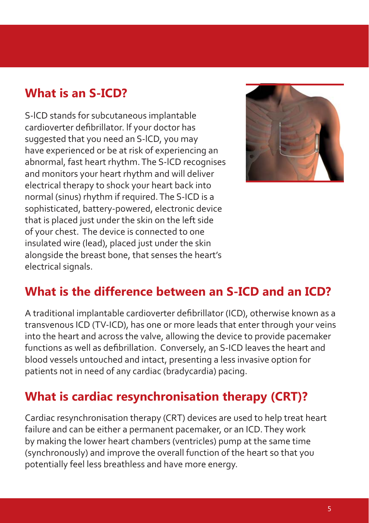### **What is an S-ICD?**

S-lCD stands for subcutaneous implantable cardioverter defibrillator. lf your doctor has suggested that you need an S-lCD, you may have experienced or be at risk of experiencing an abnormal, fast heart rhythm. The S-lCD recognises and monitors your heart rhythm and will deliver electrical therapy to shock your heart back into normal (sinus) rhythm if required. The S-ICD is a sophisticated, battery-powered, electronic device that is placed just under the skin on the left side of your chest. The device is connected to one insulated wire (lead), placed just under the skin alongside the breast bone, that senses the heart's electrical signals.



#### **What is the difference between an S-ICD and an ICD?**

A traditional implantable cardioverter defibrillator (ICD), otherwise known as a transvenous ICD (TV-ICD), has one or more leads that enter through your veins into the heart and across the valve, allowing the device to provide pacemaker functions as well as defibrillation. Conversely, an S-ICD leaves the heart and blood vessels untouched and intact, presenting a less invasive option for patients not in need of any cardiac (bradycardia) pacing.

#### **What is cardiac resynchronisation therapy (CRT)?**

Cardiac resynchronisation therapy (CRT) devices are used to help treat heart failure and can be either a permanent pacemaker, or an ICD. They work by making the lower heart chambers (ventricles) pump at the same time (synchronously) and improve the overall function of the heart so that you potentially feel less breathless and have more energy.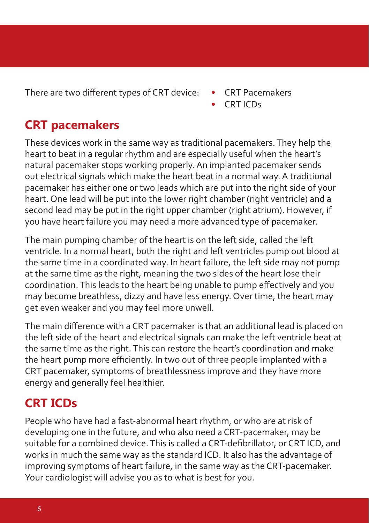There are two different types of CRT device: • CRT Pacemakers

- 
- CRT ICDs

### **CRT pacemakers**

These devices work in the same way as traditional pacemakers. They help the heart to beat in a regular rhythm and are especially useful when the heart's natural pacemaker stops working properly. An implanted pacemaker sends out electrical signals which make the heart beat in a normal way. A traditional pacemaker has either one or two leads which are put into the right side of your heart. One lead will be put into the lower right chamber (right ventricle) and a second lead may be put in the right upper chamber (right atrium). However, if you have heart failure you may need a more advanced type of pacemaker.

The main pumping chamber of the heart is on the left side, called the left ventricle. In a normal heart, both the right and left ventricles pump out blood at the same time in a coordinated way. In heart failure, the left side may not pump at the same time as the right, meaning the two sides of the heart lose their coordination. This leads to the heart being unable to pump effectively and you may become breathless, dizzy and have less energy. Over time, the heart may get even weaker and you may feel more unwell.

The main difference with a CRT pacemaker is that an additional lead is placed on the left side of the heart and electrical signals can make the left ventricle beat at the same time as the right. This can restore the heart's coordination and make the heart pump more efficiently. In two out of three people implanted with a CRT pacemaker, symptoms of breathlessness improve and they have more energy and generally feel healthier.

### **CRT ICDs**

People who have had a fast-abnormal heart rhythm, or who are at risk of developing one in the future, and who also need a CRT-pacemaker, may be suitable for a combined device. This is called a CRT-defibrillator, or CRT ICD, and works in much the same way as the standard ICD. It also has the advantage of improving symptoms of heart failure, in the same way as the CRT-pacemaker. Your cardiologist will advise you as to what is best for you.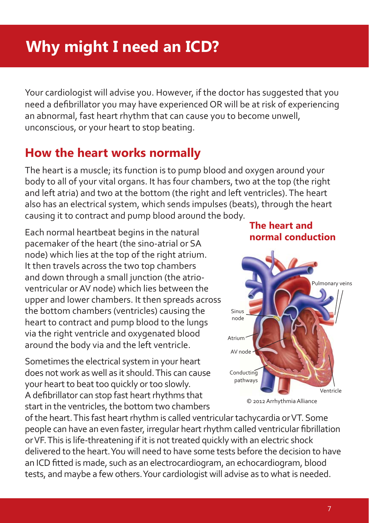# **Why might I need an ICD?**

Your cardiologist will advise you. However, if the doctor has suggested that you need a defibrillator you may have experienced OR will be at risk of experiencing an abnormal, fast heart rhythm that can cause you to become unwell, unconscious, or your heart to stop beating.

### **How the heart works normally**

The heart is a muscle; its function is to pump blood and oxygen around your body to all of your vital organs. It has four chambers, two at the top (the right and left atria) and two at the bottom (the right and left ventricles). The heart also has an electrical system, which sends impulses (beats), through the heart causing it to contract and pump blood around the body.

Each normal heartbeat begins in the natural pacemaker of the heart (the sino-atrial or SA node) which lies at the top of the right atrium. It then travels across the two top chambers and down through a small junction (the atrioventricular or AV node) which lies between the upper and lower chambers. It then spreads across the bottom chambers (ventricles) causing the heart to contract and pump blood to the lungs via the right ventricle and oxygenated blood around the body via and the left ventricle.

Sometimes the electrical system in your heart does not work as well as it should. This can cause your heart to beat too quickly or too slowly. A defibrillator can stop fast heart rhythms that start in the ventricles, the bottom two chambers

#### **The heart and normal conduction**



© 2012 Arrhythmia Alliance

of the heart. This fast heart rhythm is called ventricular tachycardia or VT. Some people can have an even faster, irregular heart rhythm called ventricular fibrillation or VF. This is life-threatening if it is not treated quickly with an electric shock delivered to the heart. You will need to have some tests before the decision to have an ICD fitted is made, such as an electrocardiogram, an echocardiogram, blood tests, and maybe a few others. Your cardiologist will advise as to what is needed.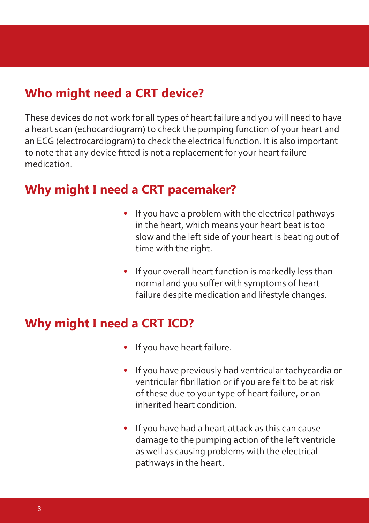#### **Who might need a CRT device?**

These devices do not work for all types of heart failure and you will need to have a heart scan (echocardiogram) to check the pumping function of your heart and an ECG (electrocardiogram) to check the electrical function. It is also important to note that any device fitted is not a replacement for your heart failure medication.

#### **Why might I need a CRT pacemaker?**

- If you have a problem with the electrical pathways in the heart, which means your heart beat is too slow and the left side of your heart is beating out of time with the right.
- If your overall heart function is markedly less than normal and you suffer with symptoms of heart failure despite medication and lifestyle changes.

#### **Why might I need a CRT ICD?**

- If you have heart failure.
- If you have previously had ventricular tachycardia or ventricular fibrillation or if you are felt to be at risk of these due to your type of heart failure, or an inherited heart condition.
- If you have had a heart attack as this can cause damage to the pumping action of the left ventricle as well as causing problems with the electrical pathways in the heart.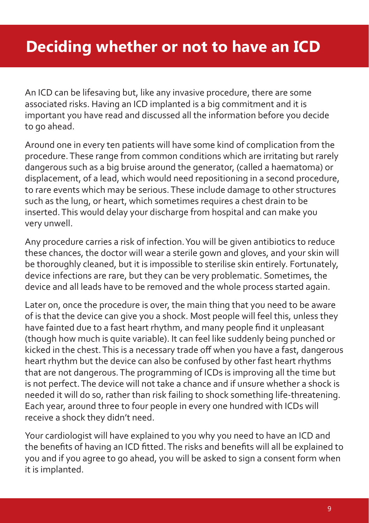# **Deciding whether or not to have an ICD**

An ICD can be lifesaving but, like any invasive procedure, there are some associated risks. Having an ICD implanted is a big commitment and it is important you have read and discussed all the information before you decide to go ahead.

Around one in every ten patients will have some kind of complication from the procedure. These range from common conditions which are irritating but rarely dangerous such as a big bruise around the generator, (called a haematoma) or displacement, of a lead, which would need repositioning in a second procedure, to rare events which may be serious. These include damage to other structures such as the lung, or heart, which sometimes requires a chest drain to be inserted. This would delay your discharge from hospital and can make you very unwell.

Any procedure carries a risk of infection. You will be given antibiotics to reduce these chances, the doctor will wear a sterile gown and gloves, and your skin will be thoroughly cleaned, but it is impossible to sterilise skin entirely. Fortunately, device infections are rare, but they can be very problematic. Sometimes, the device and all leads have to be removed and the whole process started again.

Later on, once the procedure is over, the main thing that you need to be aware of is that the device can give you a shock. Most people will feel this, unless they have fainted due to a fast heart rhythm, and many people find it unpleasant (though how much is quite variable). It can feel like suddenly being punched or kicked in the chest. This is a necessary trade off when you have a fast, dangerous heart rhythm but the device can also be confused by other fast heart rhythms that are not dangerous. The programming of ICDs is improving all the time but is not perfect. The device will not take a chance and if unsure whether a shock is needed it will do so, rather than risk failing to shock something life-threatening. Each year, around three to four people in every one hundred with ICDs will receive a shock they didn't need.

Your cardiologist will have explained to you why you need to have an ICD and the benefits of having an ICD fitted. The risks and benefits will all be explained to you and if you agree to go ahead, you will be asked to sign a consent form when it is implanted.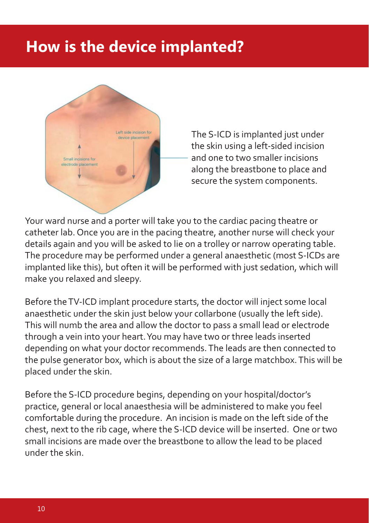# **How is the device implanted?**



The S-ICD is implanted just under the skin using a left-sided incision and one to two smaller incisions along the breastbone to place and secure the system components.

Your ward nurse and a porter will take you to the cardiac pacing theatre or catheter lab. Once you are in the pacing theatre, another nurse will check your details again and you will be asked to lie on a trolley or narrow operating table. The procedure may be performed under a general anaesthetic (most S-ICDs are implanted like this), but often it will be performed with just sedation, which will make you relaxed and sleepy.

Before the TV-ICD implant procedure starts, the doctor will inject some local anaesthetic under the skin just below your collarbone (usually the left side). This will numb the area and allow the doctor to pass a small lead or electrode through a vein into your heart. You may have two or three leads inserted depending on what your doctor recommends. The leads are then connected to the pulse generator box, which is about the size of a large matchbox. This will be placed under the skin.

Before the S-ICD procedure begins, depending on your hospital/doctor's practice, general or local anaesthesia will be administered to make you feel comfortable during the procedure. An incision is made on the left side of the chest, next to the rib cage, where the S-ICD device will be inserted. One or two small incisions are made over the breastbone to allow the lead to be placed under the skin.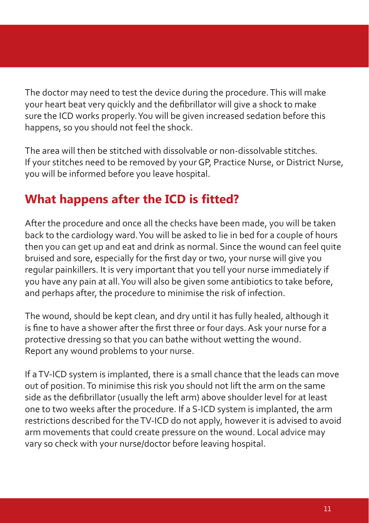The doctor may need to test the device during the procedure. This will make your heart beat very quickly and the defibrillator will give a shock to make sure the ICD works properly. You will be given increased sedation before this happens, so you should not feel the shock.

The area will then be stitched with dissolvable or non-dissolvable stitches. If your stitches need to be removed by your GP, Practice Nurse, or District Nurse, you will be informed before you leave hospital.

### **What happens after the ICD is fitted?**

After the procedure and once all the checks have been made, you will be taken back to the cardiology ward. You will be asked to lie in bed for a couple of hours then you can get up and eat and drink as normal. Since the wound can feel quite bruised and sore, especially for the first day or two, your nurse will give you regular painkillers. It is very important that you tell your nurse immediately if you have any pain at all. You will also be given some antibiotics to take before, and perhaps after, the procedure to minimise the risk of infection.

The wound, should be kept clean, and dry until it has fully healed, although it is fine to have a shower after the first three or four days. Ask your nurse for a protective dressing so that you can bathe without wetting the wound. Report any wound problems to your nurse.

If a TV-ICD system is implanted, there is a small chance that the leads can move out of position. To minimise this risk you should not lift the arm on the same side as the defibrillator (usually the left arm) above shoulder level for at least one to two weeks after the procedure. If a S-ICD system is implanted, the arm restrictions described for the TV-ICD do not apply, however it is advised to avoid arm movements that could create pressure on the wound. Local advice may vary so check with your nurse/doctor before leaving hospital.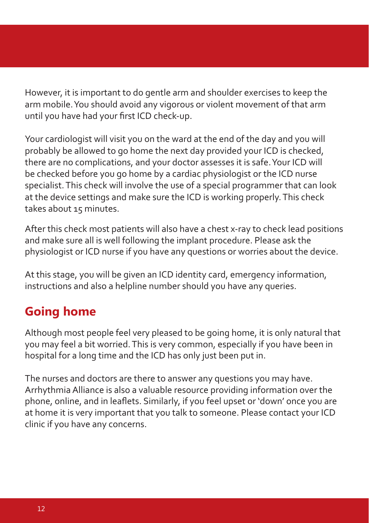However, it is important to do gentle arm and shoulder exercises to keep the arm mobile. You should avoid any vigorous or violent movement of that arm until you have had your first ICD check-up.

Your cardiologist will visit you on the ward at the end of the day and you will probably be allowed to go home the next day provided your ICD is checked, there are no complications, and your doctor assesses it is safe. Your ICD will be checked before you go home by a cardiac physiologist or the ICD nurse specialist. This check will involve the use of a special programmer that can look at the device settings and make sure the ICD is working properly. This check takes about 15 minutes.

After this check most patients will also have a chest x-ray to check lead positions and make sure all is well following the implant procedure. Please ask the physiologist or ICD nurse if you have any questions or worries about the device.

At this stage, you will be given an ICD identity card, emergency information, instructions and also a helpline number should you have any queries.

### **Going home**

Although most people feel very pleased to be going home, it is only natural that you may feel a bit worried. This is very common, especially if you have been in hospital for a long time and the ICD has only just been put in.

The nurses and doctors are there to answer any questions you may have. Arrhythmia Alliance is also a valuable resource providing information over the phone, online, and in leaflets. Similarly, if you feel upset or 'down' once you are at home it is very important that you talk to someone. Please contact your ICD clinic if you have any concerns.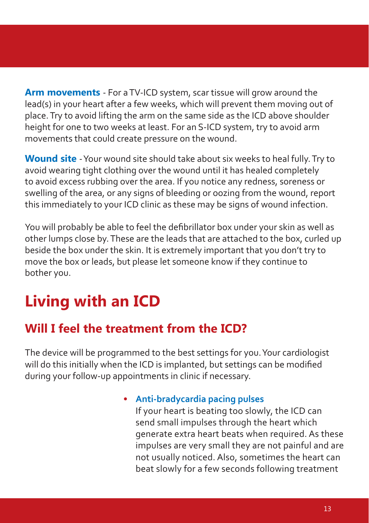**Arm movements** - For a TV-ICD system, scar tissue will grow around the lead(s) in your heart after a few weeks, which will prevent them moving out of place. Try to avoid lifting the arm on the same side as the ICD above shoulder height for one to two weeks at least. For an S-ICD system, try to avoid arm movements that could create pressure on the wound.

**Wound site** - Your wound site should take about six weeks to heal fully. Try to avoid wearing tight clothing over the wound until it has healed completely to avoid excess rubbing over the area. If you notice any redness, soreness or swelling of the area, or any signs of bleeding or oozing from the wound, report this immediately to your ICD clinic as these may be signs of wound infection.

You will probably be able to feel the defibrillator box under your skin as well as other lumps close by. These are the leads that are attached to the box, curled up beside the box under the skin. It is extremely important that you don't try to move the box or leads, but please let someone know if they continue to bother you.

# **Living with an ICD**

### **Will I feel the treatment from the ICD?**

The device will be programmed to the best settings for you. Your cardiologist will do this initially when the ICD is implanted, but settings can be modified during your follow-up appointments in clinic if necessary.

> • **Anti-bradycardia pacing pulses** If your heart is beating too slowly, the ICD can send small impulses through the heart which generate extra heart beats when required. As these impulses are very small they are not painful and are not usually noticed. Also, sometimes the heart can beat slowly for a few seconds following treatment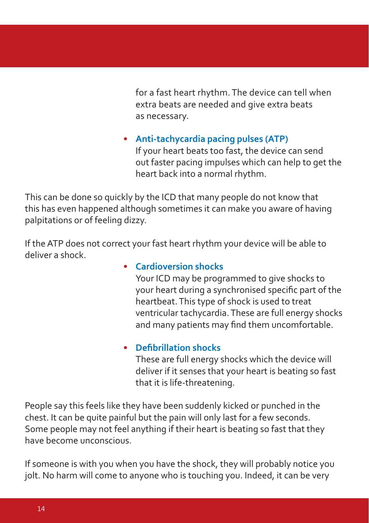for a fast heart rhythm. The device can tell when extra beats are needed and give extra beats as necessary.

• **Anti-tachycardia pacing pulses (ATP)** If your heart beats too fast, the device can send out faster pacing impulses which can help to get the heart back into a normal rhythm.

This can be done so quickly by the ICD that many people do not know that this has even happened although sometimes it can make you aware of having palpitations or of feeling dizzy.

If the ATP does not correct your fast heart rhythm your device will be able to deliver a shock.

#### • **Cardioversion shocks**

 Your ICD may be programmed to give shocks to your heart during a synchronised specific part of the heartbeat. This type of shock is used to treat ventricular tachycardia. These are full energy shocks and many patients may find them uncomfortable.

#### **• Defibrillation shocks**

 These are full energy shocks which the device will deliver if it senses that your heart is beating so fast that it is life-threatening.

People say this feels like they have been suddenly kicked or punched in the chest. It can be quite painful but the pain will only last for a few seconds. Some people may not feel anything if their heart is beating so fast that they have become unconscious.

If someone is with you when you have the shock, they will probably notice you jolt. No harm will come to anyone who is touching you. Indeed, it can be very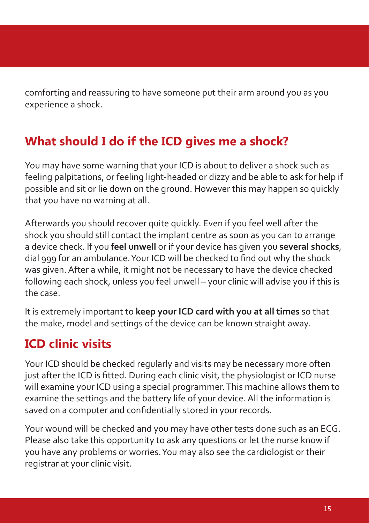comforting and reassuring to have someone put their arm around you as you experience a shock.

### **What should I do if the ICD gives me a shock?**

You may have some warning that your ICD is about to deliver a shock such as feeling palpitations, or feeling light-headed or dizzy and be able to ask for help if possible and sit or lie down on the ground. However this may happen so quickly that you have no warning at all.

Afterwards you should recover quite quickly. Even if you feel well after the shock you should still contact the implant centre as soon as you can to arrange a device check. If you **feel unwell** or if your device has given you **several shocks**, dial 999 for an ambulance. Your ICD will be checked to find out why the shock was given. After a while, it might not be necessary to have the device checked following each shock, unless you feel unwell – your clinic will advise you if this is the case.

It is extremely important to **keep your ICD card with you at all times** so that the make, model and settings of the device can be known straight away.

### **ICD clinic visits**

Your ICD should be checked regularly and visits may be necessary more often just after the ICD is fitted. During each clinic visit, the physiologist or ICD nurse will examine your ICD using a special programmer. This machine allows them to examine the settings and the battery life of your device. All the information is saved on a computer and confidentially stored in your records.

Your wound will be checked and you may have other tests done such as an ECG. Please also take this opportunity to ask any questions or let the nurse know if you have any problems or worries. You may also see the cardiologist or their registrar at your clinic visit.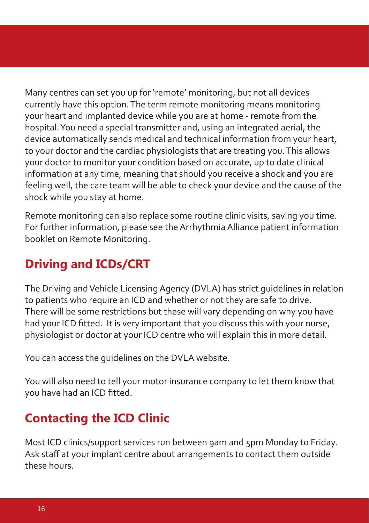Many centres can set you up for 'remote' monitoring, but not all devices currently have this option. The term remote monitoring means monitoring your heart and implanted device while you are at home - remote from the hospital. You need a special transmitter and, using an integrated aerial, the device automatically sends medical and technical information from your heart, to your doctor and the cardiac physiologists that are treating you. This allows your doctor to monitor your condition based on accurate, up to date clinical information at any time, meaning that should you receive a shock and you are feeling well, the care team will be able to check your device and the cause of the shock while you stay at home.

Remote monitoring can also replace some routine clinic visits, saving you time. For further information, please see the Arrhythmia Alliance patient information booklet on Remote Monitoring.

### **Driving and ICDs/CRT**

The Driving and Vehicle Licensing Agency (DVLA) has strict guidelines in relation to patients who require an ICD and whether or not they are safe to drive. There will be some restrictions but these will vary depending on why you have had your ICD fitted. It is very important that you discuss this with your nurse, physiologist or doctor at your ICD centre who will explain this in more detail.

You can access the guidelines on the DVLA website.

You will also need to tell your motor insurance company to let them know that you have had an ICD fitted.

### **Contacting the ICD Clinic**

Most ICD clinics/support services run between 9am and 5pm Monday to Friday. Ask staff at your implant centre about arrangements to contact them outside these hours.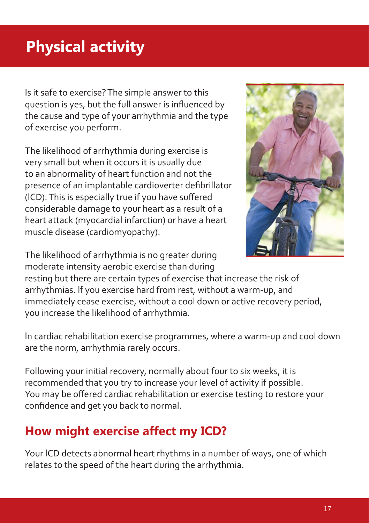# **Physical activity**

Is it safe to exercise? The simple answer to this question is yes, but the full answer is influenced by the cause and type of your arrhythmia and the type of exercise you perform.

The likelihood of arrhythmia during exercise is very small but when it occurs it is usually due to an abnormality of heart function and not the presence of an implantable cardioverter defibrillator (lCD). This is especially true if you have suffered considerable damage to your heart as a result of a heart attack (myocardial infarction) or have a heart muscle disease (cardiomyopathy).



The likelihood of arrhythmia is no greater during moderate intensity aerobic exercise than during

resting but there are certain types of exercise that increase the risk of arrhythmias. lf you exercise hard from rest, without a warm-up, and immediately cease exercise, without a cool down or active recovery period, you increase the likelihood of arrhythmia.

ln cardiac rehabilitation exercise programmes, where a warm-up and cool down are the norm, arrhythmia rarely occurs.

Following your initial recovery, normally about four to six weeks, it is recommended that you try to increase your level of activity if possible. You may be offered cardiac rehabilitation or exercise testing to restore your confidence and get you back to normal.

### **How might exercise affect my ICD?**

Your lCD detects abnormal heart rhythms in a number of ways, one of which relates to the speed of the heart during the arrhythmia.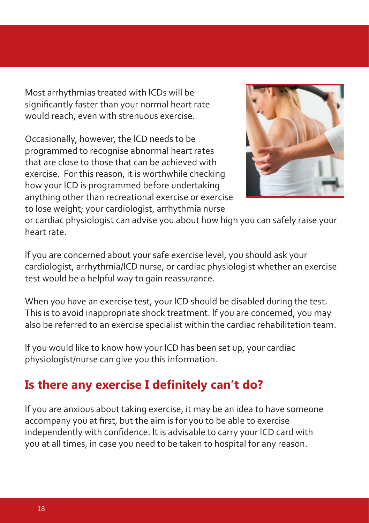Most arrhythmias treated with lCDs will be significantly faster than your normal heart rate would reach, even with strenuous exercise.

Occasionally, however, the lCD needs to be programmed to recognise abnormal heart rates that are close to those that can be achieved with exercise. For this reason, it is worthwhile checking how your lCD is programmed before undertaking anything other than recreational exercise or exercise to lose weight; your cardiologist, arrhythmia nurse



or cardiac physiologist can advise you about how high you can safely raise your heart rate.

lf you are concerned about your safe exercise level, you should ask your cardiologist, arrhythmia/lCD nurse, or cardiac physiologist whether an exercise test would be a helpful way to gain reassurance.

When you have an exercise test, your lCD should be disabled during the test. This is to avoid inappropriate shock treatment. lf you are concerned, you may also be referred to an exercise specialist within the cardiac rehabilitation team.

lf you would like to know how your lCD has been set up, your cardiac physiologist/nurse can give you this information.

### Is there any exercise I definitely can't do?

lf you are anxious about taking exercise, it may be an idea to have someone accompany you at first, but the aim is for you to be able to exercise independently with confidence. lt is advisable to carry your lCD card with you at all times, in case you need to be taken to hospital for any reason.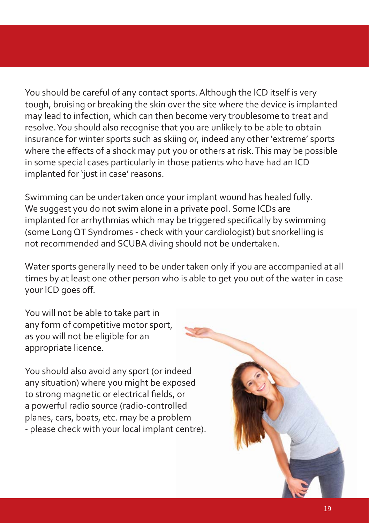You should be careful of any contact sports. Although the lCD itself is very tough, bruising or breaking the skin over the site where the device is implanted may lead to infection, which can then become very troublesome to treat and resolve. You should also recognise that you are unlikely to be able to obtain insurance for winter sports such as skiing or, indeed any other 'extreme' sports where the effects of a shock may put you or others at risk. This may be possible in some special cases particularly in those patients who have had an ICD implanted for 'just in case' reasons.

Swimming can be undertaken once your implant wound has healed fully. We suggest you do not swim alone in a private pool. Some lCDs are implanted for arrhythmias which may be triggered specifically by swimming (some Long QT Syndromes - check with your cardiologist) but snorkelling is not recommended and SCUBA diving should not be undertaken.

Water sports generally need to be under taken only if you are accompanied at all times by at least one other person who is able to get you out of the water in case your lCD goes off.

You will not be able to take part in any form of competitive motor sport, as you will not be eligible for an appropriate licence.

You should also avoid any sport (or indeed any situation) where you might be exposed to strong magnetic or electrical fields, or a powerful radio source (radio-controlled planes, cars, boats, etc. may be a problem - please check with your local implant centre).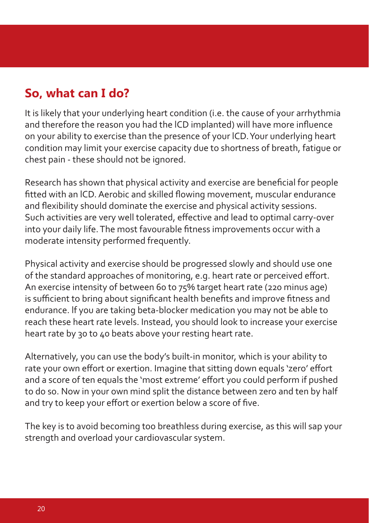### **So, what can I do?**

It is likely that your underlying heart condition (i.e. the cause of your arrhythmia and therefore the reason you had the lCD implanted) will have more influence on your ability to exercise than the presence of your lCD. Your underlying heart condition may limit your exercise capacity due to shortness of breath, fatigue or chest pain - these should not be ignored.

Research has shown that physical activity and exercise are beneficial for people fitted with an lCD. Aerobic and skilled flowing movement, muscular endurance and flexibility should dominate the exercise and physical activity sessions. Such activities are very well tolerated, effective and lead to optimal carry-over into your daily life. The most favourable fitness improvements occur with a moderate intensity performed frequently.

Physical activity and exercise should be progressed slowly and should use one of the standard approaches of monitoring, e.g. heart rate or perceived effort. An exercise intensity of between 60 to 75% target heart rate (220 minus age) is sufficient to bring about significant health benefits and improve fitness and endurance. lf you are taking beta-blocker medication you may not be able to reach these heart rate levels. Instead, you should look to increase your exercise heart rate by 30 to 40 beats above your resting heart rate.

Alternatively, you can use the body's built-in monitor, which is your ability to rate your own effort or exertion. Imagine that sitting down equals 'zero' effort and a score of ten equals the 'most extreme' effort you could perform if pushed to do so. Now in your own mind split the distance between zero and ten by half and try to keep your effort or exertion below a score of five.

The key is to avoid becoming too breathless during exercise, as this will sap your strength and overload your cardiovascular system.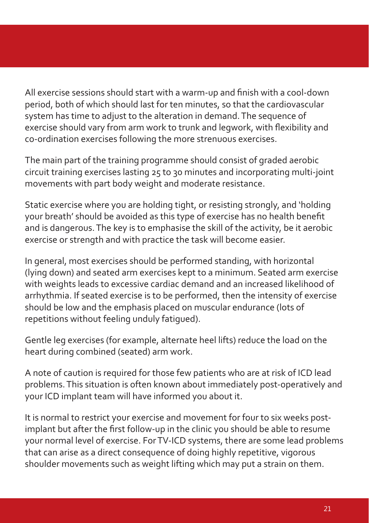All exercise sessions should start with a warm-up and finish with a cool-down period, both of which should last for ten minutes, so that the cardiovascular system has time to adjust to the alteration in demand. The sequence of exercise should vary from arm work to trunk and legwork, with flexibility and co-ordination exercises following the more strenuous exercises.

The main part of the training programme should consist of graded aerobic circuit training exercises lasting 25 to 30 minutes and incorporating multi-joint movements with part body weight and moderate resistance.

Static exercise where you are holding tight, or resisting strongly, and 'holding your breath' should be avoided as this type of exercise has no health benefit and is dangerous. The key is to emphasise the skill of the activity, be it aerobic exercise or strength and with practice the task will become easier.

In general, most exercises should be performed standing, with horizontal (lying down) and seated arm exercises kept to a minimum. Seated arm exercise with weights leads to excessive cardiac demand and an increased likelihood of arrhythmia. If seated exercise is to be performed, then the intensity of exercise should be low and the emphasis placed on muscular endurance (lots of repetitions without feeling unduly fatigued).

Gentle leg exercises (for example, alternate heel lifts) reduce the load on the heart during combined (seated) arm work.

A note of caution is required for those few patients who are at risk of ICD lead problems. This situation is often known about immediately post-operatively and your ICD implant team will have informed you about it.

It is normal to restrict your exercise and movement for four to six weeks postimplant but after the first follow-up in the clinic you should be able to resume your normal level of exercise. For TV-ICD systems, there are some lead problems that can arise as a direct consequence of doing highly repetitive, vigorous shoulder movements such as weight lifting which may put a strain on them.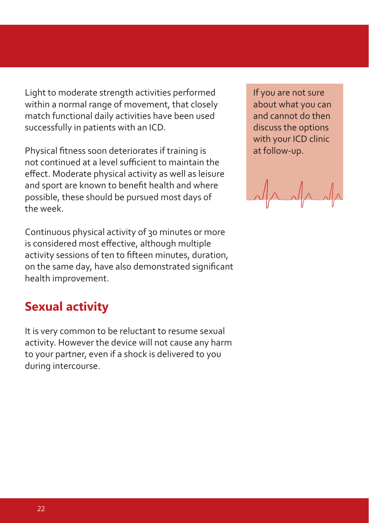Light to moderate strength activities performed within a normal range of movement, that closely match functional daily activities have been used successfully in patients with an ICD.

Physical fitness soon deteriorates if training is not continued at a level sufficient to maintain the effect. Moderate physical activity as well as leisure and sport are known to benefit health and where possible, these should be pursued most days of the week.

Continuous physical activity of 30 minutes or more is considered most effective, although multiple activity sessions of ten to fifteen minutes, duration, on the same day, have also demonstrated significant health improvement.

### **Sexual activity**

It is very common to be reluctant to resume sexual activity. However the device will not cause any harm to your partner, even if a shock is delivered to you during intercourse.

If you are not sure about what you can and cannot do then discuss the options with your ICD clinic at follow-up.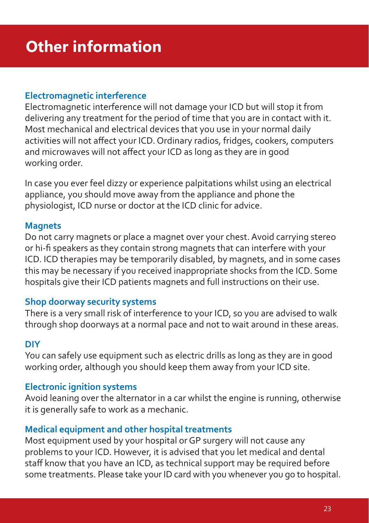#### **Electromagnetic interference**

Electromagnetic interference will not damage your ICD but will stop it from delivering any treatment for the period of time that you are in contact with it. Most mechanical and electrical devices that you use in your normal daily activities will not affect your ICD. Ordinary radios, fridges, cookers, computers and microwaves will not affect your ICD as long as they are in good working order.

In case you ever feel dizzy or experience palpitations whilst using an electrical appliance, you should move away from the appliance and phone the physiologist, ICD nurse or doctor at the ICD clinic for advice.

#### **Magnets**

Do not carry magnets or place a magnet over your chest. Avoid carrying stereo or hi-fi speakers as they contain strong magnets that can interfere with your ICD. ICD therapies may be temporarily disabled, by magnets, and in some cases this may be necessary if you received inappropriate shocks from the ICD. Some hospitals give their ICD patients magnets and full instructions on their use.

#### **Shop doorway security systems**

There is a very small risk of interference to your ICD, so you are advised to walk through shop doorways at a normal pace and not to wait around in these areas.

#### **DIY**

You can safely use equipment such as electric drills as long as they are in good working order, although you should keep them away from your ICD site.

#### **Electronic ignition systems**

Avoid leaning over the alternator in a car whilst the engine is running, otherwise it is generally safe to work as a mechanic.

#### **Medical equipment and other hospital treatments**

Most equipment used by your hospital or GP surgery will not cause any problems to your ICD. However, it is advised that you let medical and dental staff know that you have an ICD, as technical support may be required before some treatments. Please take your ID card with you whenever you go to hospital.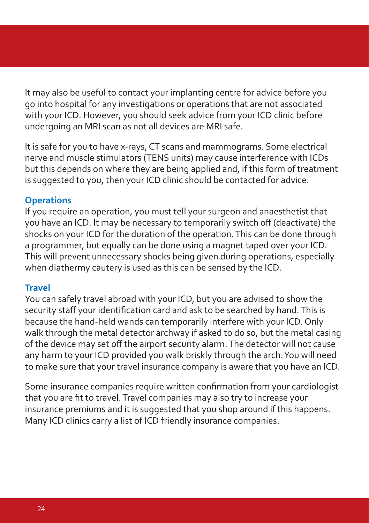It may also be useful to contact your implanting centre for advice before you go into hospital for any investigations or operations that are not associated with your ICD. However, you should seek advice from your ICD clinic before undergoing an MRI scan as not all devices are MRI safe.

It is safe for you to have x-rays, CT scans and mammograms. Some electrical nerve and muscle stimulators (TENS units) may cause interference with ICDs but this depends on where they are being applied and, if this form of treatment is suggested to you, then your ICD clinic should be contacted for advice.

#### **Operations**

If you require an operation, you must tell your surgeon and anaesthetist that you have an ICD. It may be necessary to temporarily switch off (deactivate) the shocks on your ICD for the duration of the operation. This can be done through a programmer, but equally can be done using a magnet taped over your ICD. This will prevent unnecessary shocks being given during operations, especially when diathermy cautery is used as this can be sensed by the ICD.

#### **Travel**

You can safely travel abroad with your ICD, but you are advised to show the security staff your identification card and ask to be searched by hand. This is because the hand-held wands can temporarily interfere with your ICD. Only walk through the metal detector archway if asked to do so, but the metal casing of the device may set off the airport security alarm. The detector will not cause any harm to your ICD provided you walk briskly through the arch. You will need to make sure that your travel insurance company is aware that you have an ICD.

Some insurance companies require written confirmation from your cardiologist that you are fit to travel. Travel companies may also try to increase your insurance premiums and it is suggested that you shop around if this happens. Many ICD clinics carry a list of ICD friendly insurance companies.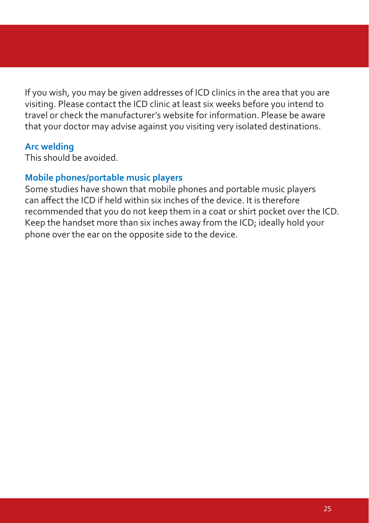If you wish, you may be given addresses of ICD clinics in the area that you are visiting. Please contact the ICD clinic at least six weeks before you intend to travel or check the manufacturer's website for information. Please be aware that your doctor may advise against you visiting very isolated destinations.

#### **Arc welding**

This should be avoided.

#### **Mobile phones/portable music players**

Some studies have shown that mobile phones and portable music players can affect the ICD if held within six inches of the device. It is therefore recommended that you do not keep them in a coat or shirt pocket over the ICD. Keep the handset more than six inches away from the ICD; ideally hold your phone over the ear on the opposite side to the device.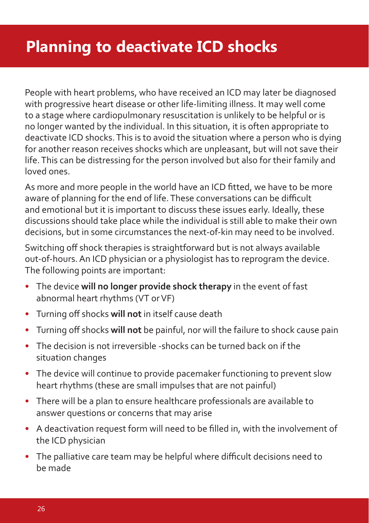# **Planning to deactivate ICD shocks**

People with heart problems, who have received an ICD may later be diagnosed with progressive heart disease or other life-limiting illness. It may well come to a stage where cardiopulmonary resuscitation is unlikely to be helpful or is no longer wanted by the individual. In this situation, it is often appropriate to deactivate ICD shocks. This is to avoid the situation where a person who is dying for another reason receives shocks which are unpleasant, but will not save their life. This can be distressing for the person involved but also for their family and loved ones.

As more and more people in the world have an ICD fitted, we have to be more aware of planning for the end of life. These conversations can be difficult and emotional but it is important to discuss these issues early. Ideally, these discussions should take place while the individual is still able to make their own decisions, but in some circumstances the next-of-kin may need to be involved.

Switching off shock therapies is straightforward but is not always available out-of-hours. An ICD physician or a physiologist has to reprogram the device. The following points are important:

- The device **will no longer provide shock therapy** in the event of fast abnormal heart rhythms (VT or VF)
- Turning off shocks **will not** in itself cause death
- Turning off shocks **will not** be painful, nor will the failure to shock cause pain
- The decision is not irreversible -shocks can be turned back on if the situation changes
- The device will continue to provide pacemaker functioning to prevent slow heart rhythms (these are small impulses that are not painful)
- There will be a plan to ensure healthcare professionals are available to answer questions or concerns that may arise
- A deactivation request form will need to be filled in, with the involvement of the ICD physician
- The palliative care team may be helpful where difficult decisions need to be made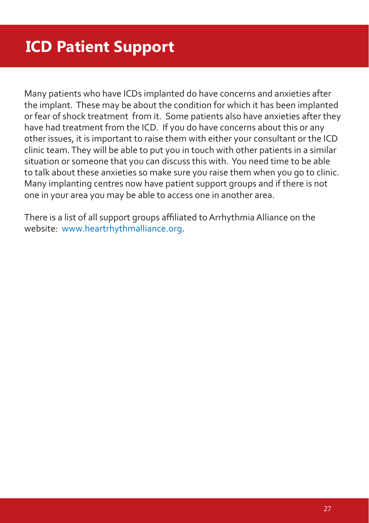Many patients who have ICDs implanted do have concerns and anxieties after the implant. These may be about the condition for which it has been implanted or fear of shock treatment from it. Some patients also have anxieties after they have had treatment from the ICD. If you do have concerns about this or any other issues, it is important to raise them with either your consultant or the ICD clinic team. They will be able to put you in touch with other patients in a similar situation or someone that you can discuss this with. You need time to be able to talk about these anxieties so make sure you raise them when you go to clinic. Many implanting centres now have patient support groups and if there is not one in your area you may be able to access one in another area.

There is a list of all support groups affiliated to Arrhythmia Alliance on the website: www.heartrhythmalliance.org.